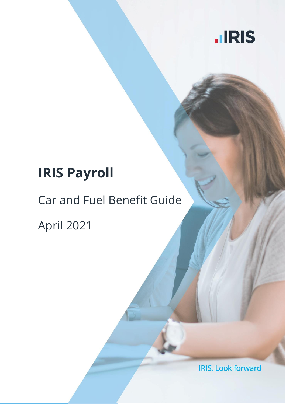

# **IRIS Payroll**

## Car and Fuel Benefit Guide

April 2021

**IRIS. Look forward**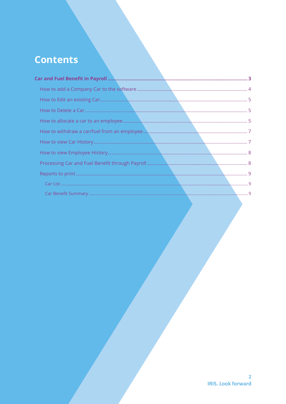### **Contents**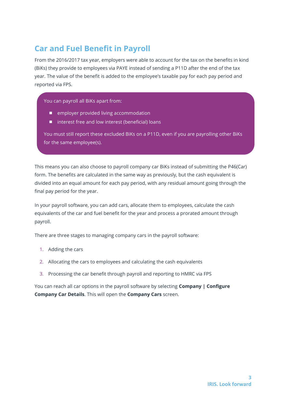### <span id="page-2-0"></span>**Car and Fuel Benefit in Payroll**

From the 2016/2017 tax year, employers were able to account for the tax on the benefits in kind (BiKs) they provide to employees via PAYE instead of sending a P11D after the end of the tax year. The value of the benefit is added to the employee's taxable pay for each pay period and reported via FPS.

You can payroll all BiKs apart from:

- employer provided living accommodation
- interest free and low interest (beneficial) loans

You must still report these excluded BiKs on a P11D, even if you are payrolling other BiKs for the same employee(s).

This means you can also choose to payroll company car BiKs instead of submitting the P46(Car) form. The benefits are calculated in the same way as previously, but the cash equivalent is divided into an equal amount for each pay period, with any residual amount going through the final pay period for the year.

In your payroll software, you can add cars, allocate them to employees, calculate the cash equivalents of the car and fuel benefit for the year and process a prorated amount through payroll.

There are three stages to managing company cars in the payroll software:

- 1. Adding the cars
- 2. Allocating the cars to employees and calculating the cash equivalents
- 3. Processing the car benefit through payroll and reporting to HMRC via FPS

You can reach all car options in the payroll software by selecting **Company | Configure Company Car Details**. This will open the **Company Cars** screen.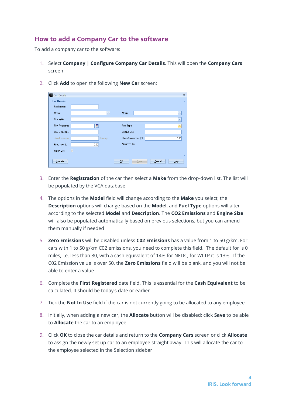#### <span id="page-3-0"></span>**How to add a Company Car to the software**

To add a company car to the software:

- 1. Select **Company | Configure Company Car Details**. This will open the **Company Cars** screen
- 2. Click **Add** to open the following **New Car** screen:

| <b>1</b> Car Details      |                |         |                       |        | $\mathbf x$             |
|---------------------------|----------------|---------|-----------------------|--------|-------------------------|
| <b>Car Details</b>        |                |         |                       |        |                         |
| Registration              |                |         |                       |        |                         |
| Make                      |                | ×.      | Model                 |        | ×,                      |
| Description               |                |         |                       |        | ۳                       |
| <b>First Registered</b>   | $\blacksquare$ |         | Fuel Type             |        | $\overline{\mathbf{v}}$ |
| CO <sub>2</sub> Emissions |                |         | Engine Size           |        |                         |
| Zero Emissions            |                | Mileage | Price Accessories (£) |        | 0.00                    |
| Price New (£)             | 0.00           |         | Allocated To          |        |                         |
| Not In Use                | $\Box$         |         |                       |        |                         |
|                           |                |         |                       |        |                         |
| Allocate                  |                |         | QK<br>Save            | Cancel | Help                    |

- 3. Enter the **Registration** of the car then select a **Make** from the drop-down list. The list will be populated by the VCA database
- 4. The options in the **Model** field will change according to the **Make** you select, the **Description** options will change based on the **Model**, and **Fuel Type** options will alter according to the selected **Model** and **Description**. The **CO2 Emissions** and **Engine Size** will also be populated automatically based on previous selections, but you can amend them manually if needed
- 5. **Zero Emissions** will be disabled unless **C02 Emissions** has a value from 1 to 50 g/km. For cars with 1 to 50 g/km C02 emissions, you need to complete this field. The default for is 0 miles, i.e. less than 30, with a cash equivalent of 14% for NEDC, for WLTP it is 13%. If the C02 Emission value is over 50, the **Zero Emissions** field will be blank, and you will not be able to enter a value
- 6. Complete the **First Registered** date field. This is essential for the **Cash Equivalent** to be calculated. It should be today's date or earlier
- 7. Tick the **Not In Use** field if the car is not currently going to be allocated to any employee
- 8. Initially, when adding a new car, the **Allocate** button will be disabled; click **Save** to be able to **Allocate** the car to an employee
- 9. Click **OK** to close the car details and return to the **Company Cars** screen or click **Allocate** to assign the newly set up car to an employee straight away. This will allocate the car to the employee selected in the Selection sidebar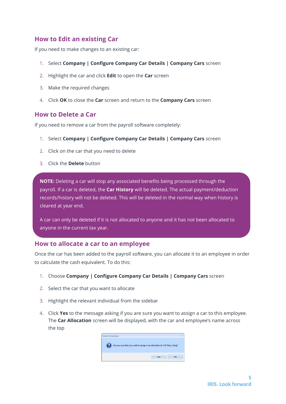#### <span id="page-4-0"></span>**How to Edit an existing Car**

If you need to make changes to an existing car:

- 1. Select **Company | Configure Company Car Details | Company Cars** screen
- 2. Highlight the car and click **Edit** to open the **Car** screen
- 3. Make the required changes
- 4. Click **OK** to close the **Car** screen and return to the **Company Cars** screen

#### <span id="page-4-1"></span>**How to Delete a Car**

If you need to remove a car from the payroll software completely:

- 1. Select **Company | Configure Company Car Details | Company Cars** screen
- 2. Click on the car that you need to delete
- 3. Click the **Delete** button

**NOTE:** Deleting a car will stop any associated benefits being processed through the payroll. If a car is deleted, the **Car History** will be deleted. The actual payment/deduction records/history will not be deleted. This will be deleted in the normal way when history is cleared at year end.

A car can only be deleted if it is not allocated to anyone and it has not been allocated to anyone in the current tax year.

#### <span id="page-4-2"></span>**How to allocate a car to an employee**

Once the car has been added to the payroll software, you can allocate it to an employee in order to calculate the cash equivalent. To do this:

- 1. Choose **Company | Configure Company Car Details | Company Cars** screen
- 2. Select the car that you want to allocate
- 3. Highlight the relevant individual from the sidebar
- 4. Click **Yes** to the message asking if you are sure you want to assign a car to this employee. The **Car Allocation** screen will be displayed, with the car and employee's name across the top

| <b>Select Employee</b> |                                                                           | $\times$ |
|------------------------|---------------------------------------------------------------------------|----------|
| 7                      | Are you sure that you want to assign a car allocation to (10) Mary Craig? |          |
|                        | <b>Yes</b><br>No                                                          |          |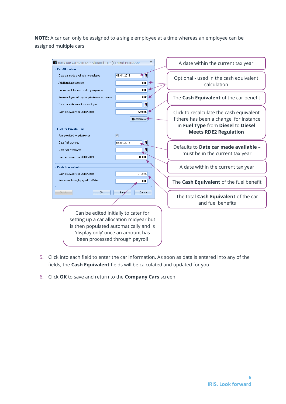**NOTE:** A car can only be assigned to a single employee at a time whereas an employee can be assigned multiple cars



- 5. Click into each field to enter the car information. As soon as data is entered into any of the fields, the **Cash Equivalent** fields will be calculated and updated for you
- 6. Click **OK** to save and return to the **Company Cars** screen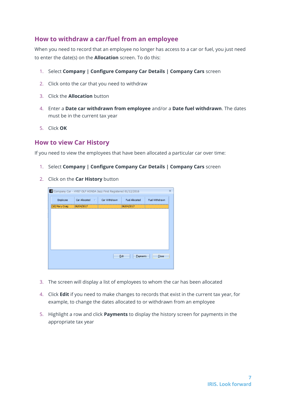#### <span id="page-6-0"></span>**How to withdraw a car/fuel from an employee**

When you need to record that an employee no longer has access to a car or fuel, you just need to enter the date(s) on the **Allocation** screen. To do this:

- 1. Select **Company | Configure Company Car Details | Company Cars** screen
- 2. Click onto the car that you need to withdraw
- 3. Click the **Allocation** button
- 4. Enter a **Date car withdrawn from employee** and/or a **Date fuel withdrawn**. The dates must be in the current tax year
- 5. Click **OK**

#### <span id="page-6-1"></span>**How to view Car History**

If you need to view the employees that have been allocated a particular car over time:

- 1. Select **Company | Configure Company Car Details | Company Cars** screen
- 2. Click on the **Car History** button

| 1 Company Car - HY87 OLP HONDA Jazz First Registered 01/12/2016<br>$\overline{\mathbf{x}}$ |                        |  |               |                       |                |  |
|--------------------------------------------------------------------------------------------|------------------------|--|---------------|-----------------------|----------------|--|
| Employee                                                                                   | Car Allocated $\nabla$ |  | Car Withdrawn | <b>Fuel Allocated</b> | Fuel Withdrawn |  |
| (10) Mary Craig                                                                            | 06/04/2017             |  |               | 06/04/2017            |                |  |
|                                                                                            |                        |  |               |                       |                |  |
|                                                                                            |                        |  |               |                       |                |  |
|                                                                                            |                        |  |               |                       |                |  |
|                                                                                            |                        |  |               |                       |                |  |
|                                                                                            |                        |  |               |                       |                |  |
|                                                                                            |                        |  |               |                       |                |  |
|                                                                                            |                        |  |               |                       |                |  |
| Edit<br>Payments<br>Close                                                                  |                        |  |               |                       |                |  |
|                                                                                            |                        |  |               |                       |                |  |
|                                                                                            |                        |  |               |                       |                |  |

- 3. The screen will display a list of employees to whom the car has been allocated
- 4. Click **Edit** if you need to make changes to records that exist in the current tax year, for example, to change the dates allocated to or withdrawn from an employee
- 5. Highlight a row and click **Payments** to display the history screen for payments in the appropriate tax year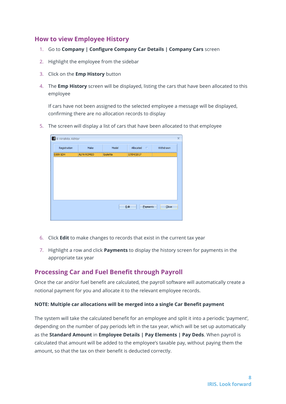#### <span id="page-7-0"></span>**How to view Employee History**

- 1. Go to **Company | Configure Company Car Details | Company Cars** screen
- 2. Highlight the employee from the sidebar
- 3. Click on the **Emp History** button
- 4. The **Emp History** screen will be displayed, listing the cars that have been allocated to this employee

If cars have not been assigned to the selected employee a message will be displayed, confirming there are no allocation records to display

5. The screen will display a list of cars that have been allocated to that employee

| 1 8 Hirishita Akhtar<br>$\overline{\mathbf{x}}$ |                   |           |                    |           |
|-------------------------------------------------|-------------------|-----------|--------------------|-----------|
| Registration                                    | Make              | Model     | Allocated $\nabla$ | Withdrawn |
| DJ09 SDH                                        | <b>ALFA ROMEO</b> | Giulietta | 17/04/2017         |           |
|                                                 |                   |           |                    |           |
|                                                 |                   |           |                    |           |
|                                                 |                   |           |                    |           |
|                                                 |                   |           |                    |           |
|                                                 |                   |           |                    |           |
|                                                 |                   |           |                    |           |
|                                                 |                   |           |                    |           |
|                                                 |                   |           | Edit<br>Payments   | Close     |
|                                                 |                   |           |                    |           |
|                                                 |                   |           |                    |           |

- 6. Click **Edit** to make changes to records that exist in the current tax year
- 7. Highlight a row and click **Payments** to display the history screen for payments in the appropriate tax year

#### <span id="page-7-1"></span>**Processing Car and Fuel Benefit through Payroll**

Once the car and/or fuel benefit are calculated, the payroll software will automatically create a notional payment for you and allocate it to the relevant employee records.

#### **NOTE: Multiple car allocations will be merged into a single Car Benefit payment**

The system will take the calculated benefit for an employee and split it into a periodic 'payment', depending on the number of pay periods left in the tax year, which will be set up automatically as the **Standard Amount** in **Employee Details | Pay Elements | Pay Deds**. When payroll is calculated that amount will be added to the employee's taxable pay, without paying them the amount, so that the tax on their benefit is deducted correctly.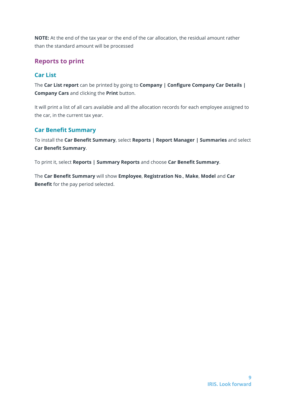**NOTE:** At the end of the tax year or the end of the car allocation, the residual amount rather than the standard amount will be processed

#### <span id="page-8-0"></span>**Reports to print**

#### <span id="page-8-1"></span>**Car List**

The **Car List report** can be printed by going to **Company | Configure Company Car Details | Company Cars** and clicking the **Print** button.

It will print a list of all cars available and all the allocation records for each employee assigned to the car, in the current tax year.

#### <span id="page-8-2"></span>**Car Benefit Summary**

To install the **Car Benefit Summary**, select **Reports | Report Manager | Summaries** and select **Car Benefit Summary**.

To print it, select **Reports | Summary Reports** and choose **Car Benefit Summary**.

The **Car Benefit Summary** will show **Employee**, **Registration No**., **Make**, **Model** and **Car Benefit** for the pay period selected.